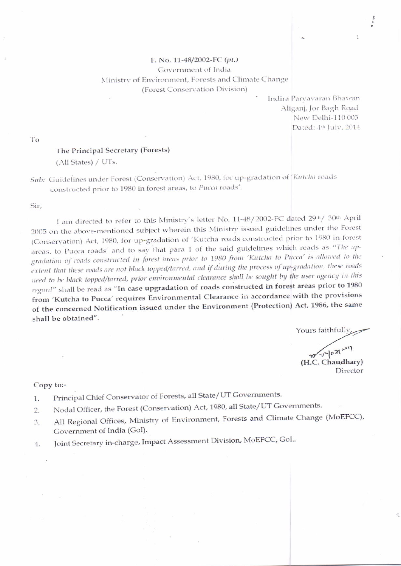## F. No. 11-48/2002-FC (pt.) Government of India Ministry of Environment, Forests and Climate Change (Forest Conservation Division)

Indira Parvavaran Bhawan Aliganj, Jor Bagh Road New Delhi-110 003 Dated: 4th July, 2014

 $\mathbf{1}$ 

To

## The Principal Secretary (Forests)

(All States) / UTs.

Sub: Guidelines under Forest (Conservation) Act, 1980, for up-gradation of Kutcha roads constructed prior to 1980 in forest areas, to Pucca roads'.

Sir,

I am directed to refer to this Ministry's letter No. 11-48/2002-FC dated 29th/30th April 2005 on the above-mentioned subject wherein this Ministry issued guidelines under the Forest (Conservation) Act, 1980, for up-gradation of 'Kutcha roads constructed prior to 1980 in forest areas, to Pucca roads' and to say that para 1 of the said guidelines which reads as "The upgradation of roads constructed in forest areas prior to 1980 from 'Kutcha to Pucca' is allowed to the extent that these roads are not black topped/tarred, and if during the process of up-gradation, these roads need to be black topped/tarred, prior environmental clearance shall be sought by the user agency in this regard" shall be read as "In case upgradation of roads constructed in forest areas prior to 1980 from 'Kutcha to Pucca' requires Environmental Clearance in accordance with the provisions of the concerned Notification issued under the Environment (Protection) Act, 1986, the same shall be obtained".

Yours faithfully,

moyon? (H.C. Chaudhary) Director

## Copy to:-

- Principal Chief Conservator of Forests, all State/UT Governments. 1.
- Nodal Officer, the Forest (Conservation) Act, 1980, all State/UT Governments. 2.
- All Regional Offices, Ministry of Environment, Forests and Climate Change (MoEFCC), 3. Government of India (GoI).
- Joint Secretary in-charge, Impact Assessment Division, MoEFCC, Gol..  $4.$